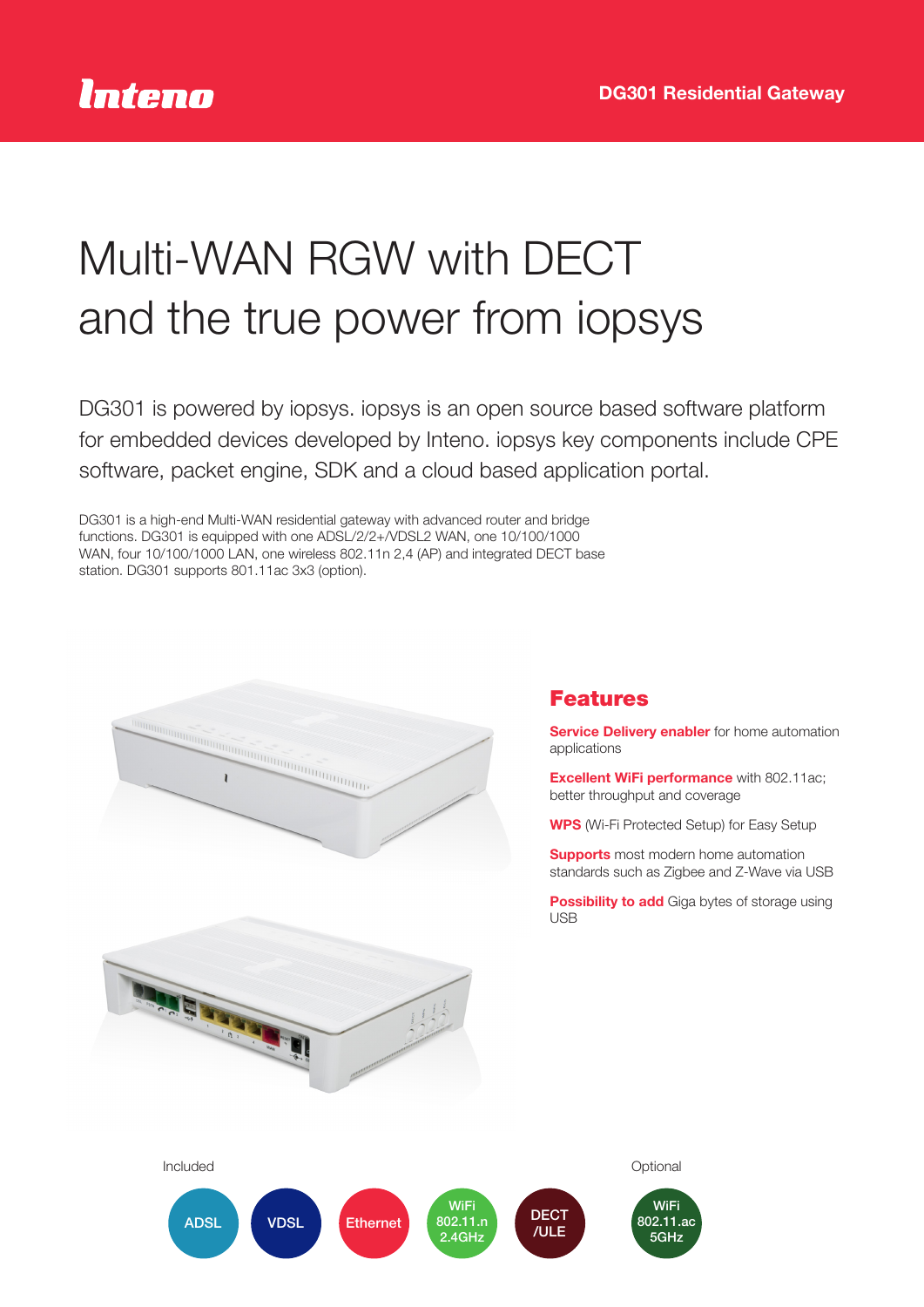# Multi-WAN RGW with DECT and the true power from iopsys

DG301 is powered by iopsys. iopsys is an open source based software platform for embedded devices developed by Inteno. iopsys key components include CPE software, packet engine, SDK and a cloud based application portal.

DG301 is a high-end Multi-WAN residential gateway with advanced router and bridge functions. DG301 is equipped with one ADSL/2/2+/VDSL2 WAN, one 10/100/1000 WAN, four 10/100/1000 LAN, one wireless 802.11n 2,4 (AP) and integrated DECT base station. DG301 supports 801.11ac 3x3 (option).



**TATE TATES** 

## Features

**Service Delivery enabler** for home automation applications

**Excellent WiFi performance** with 802.11ac; better throughput and coverage

WPS (Wi-Fi Protected Setup) for Easy Setup

**Supports** most modern home automation standards such as Zigbee and Z-Wave via USB

**Possibility to add** Giga bytes of storage using **LISB**